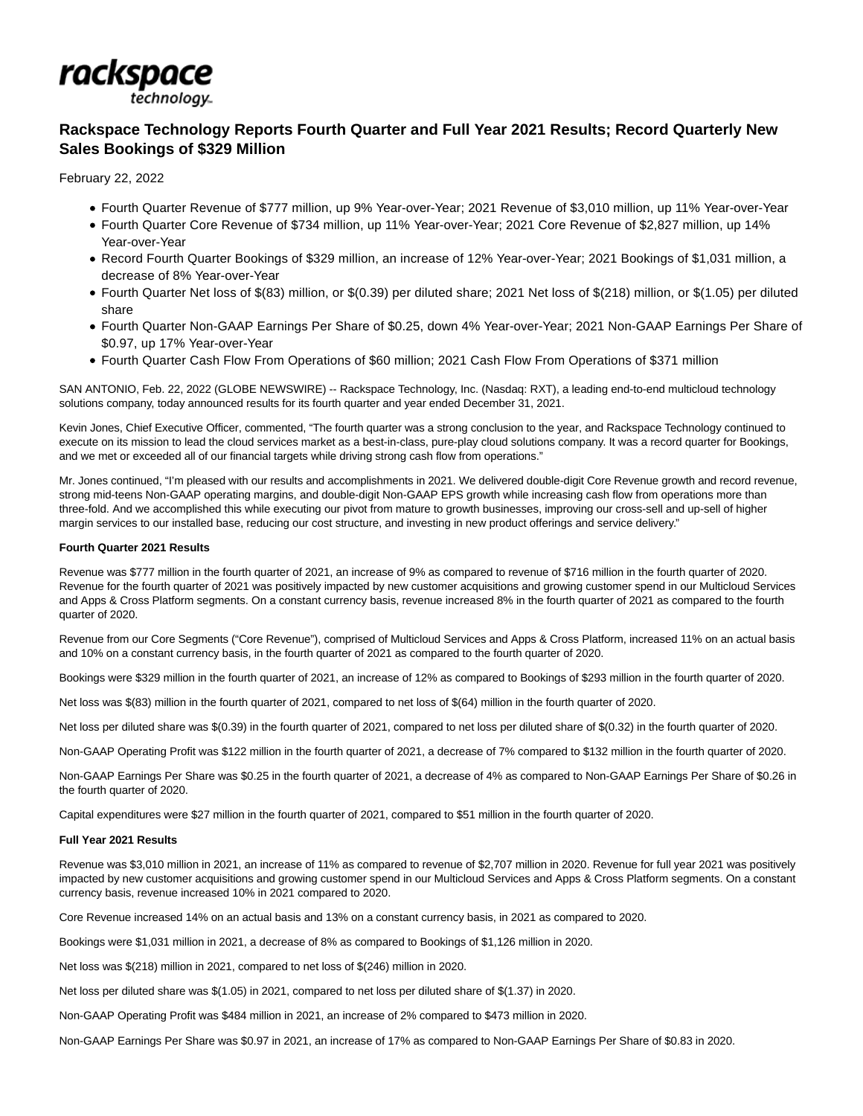

technology.

# **Rackspace Technology Reports Fourth Quarter and Full Year 2021 Results; Record Quarterly New Sales Bookings of \$329 Million**

February 22, 2022

- Fourth Quarter Revenue of \$777 million, up 9% Year-over-Year; 2021 Revenue of \$3,010 million, up 11% Year-over-Year
- Fourth Quarter Core Revenue of \$734 million, up 11% Year-over-Year; 2021 Core Revenue of \$2,827 million, up 14% Year-over-Year
- Record Fourth Quarter Bookings of \$329 million, an increase of 12% Year-over-Year; 2021 Bookings of \$1,031 million, a decrease of 8% Year-over-Year
- Fourth Quarter Net loss of \$(83) million, or \$(0.39) per diluted share; 2021 Net loss of \$(218) million, or \$(1.05) per diluted share
- Fourth Quarter Non-GAAP Earnings Per Share of \$0.25, down 4% Year-over-Year; 2021 Non-GAAP Earnings Per Share of \$0.97, up 17% Year-over-Year
- Fourth Quarter Cash Flow From Operations of \$60 million; 2021 Cash Flow From Operations of \$371 million

SAN ANTONIO, Feb. 22, 2022 (GLOBE NEWSWIRE) -- Rackspace Technology, Inc. (Nasdaq: RXT), a leading end-to-end multicloud technology solutions company, today announced results for its fourth quarter and year ended December 31, 2021.

Kevin Jones, Chief Executive Officer, commented, "The fourth quarter was a strong conclusion to the year, and Rackspace Technology continued to execute on its mission to lead the cloud services market as a best-in-class, pure-play cloud solutions company. It was a record quarter for Bookings, and we met or exceeded all of our financial targets while driving strong cash flow from operations."

Mr. Jones continued, "I'm pleased with our results and accomplishments in 2021. We delivered double-digit Core Revenue growth and record revenue, strong mid-teens Non-GAAP operating margins, and double-digit Non-GAAP EPS growth while increasing cash flow from operations more than three-fold. And we accomplished this while executing our pivot from mature to growth businesses, improving our cross-sell and up-sell of higher margin services to our installed base, reducing our cost structure, and investing in new product offerings and service delivery."

# **Fourth Quarter 2021 Results**

Revenue was \$777 million in the fourth quarter of 2021, an increase of 9% as compared to revenue of \$716 million in the fourth quarter of 2020. Revenue for the fourth quarter of 2021 was positively impacted by new customer acquisitions and growing customer spend in our Multicloud Services and Apps & Cross Platform segments. On a constant currency basis, revenue increased 8% in the fourth quarter of 2021 as compared to the fourth quarter of 2020.

Revenue from our Core Segments ("Core Revenue"), comprised of Multicloud Services and Apps & Cross Platform, increased 11% on an actual basis and 10% on a constant currency basis, in the fourth quarter of 2021 as compared to the fourth quarter of 2020.

Bookings were \$329 million in the fourth quarter of 2021, an increase of 12% as compared to Bookings of \$293 million in the fourth quarter of 2020.

Net loss was \$(83) million in the fourth quarter of 2021, compared to net loss of \$(64) million in the fourth quarter of 2020.

Net loss per diluted share was \$(0.39) in the fourth quarter of 2021, compared to net loss per diluted share of \$(0.32) in the fourth quarter of 2020.

Non-GAAP Operating Profit was \$122 million in the fourth quarter of 2021, a decrease of 7% compared to \$132 million in the fourth quarter of 2020.

Non-GAAP Earnings Per Share was \$0.25 in the fourth quarter of 2021, a decrease of 4% as compared to Non-GAAP Earnings Per Share of \$0.26 in the fourth quarter of 2020.

Capital expenditures were \$27 million in the fourth quarter of 2021, compared to \$51 million in the fourth quarter of 2020.

## **Full Year 2021 Results**

Revenue was \$3,010 million in 2021, an increase of 11% as compared to revenue of \$2,707 million in 2020. Revenue for full year 2021 was positively impacted by new customer acquisitions and growing customer spend in our Multicloud Services and Apps & Cross Platform segments. On a constant currency basis, revenue increased 10% in 2021 compared to 2020.

Core Revenue increased 14% on an actual basis and 13% on a constant currency basis, in 2021 as compared to 2020.

Bookings were \$1,031 million in 2021, a decrease of 8% as compared to Bookings of \$1,126 million in 2020.

Net loss was \$(218) million in 2021, compared to net loss of \$(246) million in 2020.

Net loss per diluted share was \$(1.05) in 2021, compared to net loss per diluted share of \$(1.37) in 2020.

Non-GAAP Operating Profit was \$484 million in 2021, an increase of 2% compared to \$473 million in 2020.

Non-GAAP Earnings Per Share was \$0.97 in 2021, an increase of 17% as compared to Non-GAAP Earnings Per Share of \$0.83 in 2020.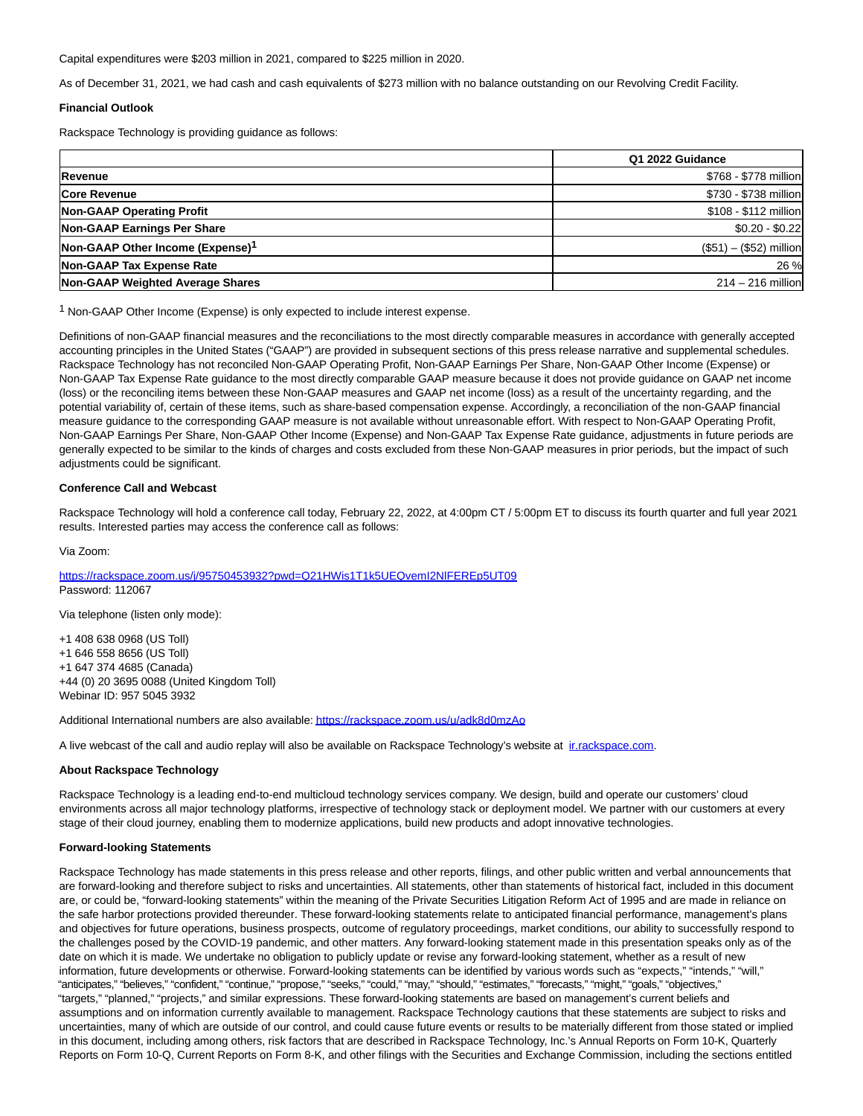Capital expenditures were \$203 million in 2021, compared to \$225 million in 2020.

As of December 31, 2021, we had cash and cash equivalents of \$273 million with no balance outstanding on our Revolving Credit Facility.

### **Financial Outlook**

Rackspace Technology is providing guidance as follows:

|                                              | Q1 2022 Guidance        |
|----------------------------------------------|-------------------------|
| <b>Revenue</b>                               | \$768 - \$778 million   |
| <b>Core Revenue</b>                          | \$730 - \$738 million   |
| <b>Non-GAAP Operating Profit</b>             | \$108 - \$112 million   |
| <b>Non-GAAP Earnings Per Share</b>           | $$0.20 - $0.22$         |
| Non-GAAP Other Income (Expense) <sup>1</sup> | $($51) - ($52)$ million |
| <b>Non-GAAP Tax Expense Rate</b>             | 26 %                    |
| Non-GAAP Weighted Average Shares             | $214 - 216$ million     |

<sup>1</sup> Non-GAAP Other Income (Expense) is only expected to include interest expense.

Definitions of non-GAAP financial measures and the reconciliations to the most directly comparable measures in accordance with generally accepted accounting principles in the United States ("GAAP") are provided in subsequent sections of this press release narrative and supplemental schedules. Rackspace Technology has not reconciled Non-GAAP Operating Profit, Non-GAAP Earnings Per Share, Non-GAAP Other Income (Expense) or Non-GAAP Tax Expense Rate guidance to the most directly comparable GAAP measure because it does not provide guidance on GAAP net income (loss) or the reconciling items between these Non-GAAP measures and GAAP net income (loss) as a result of the uncertainty regarding, and the potential variability of, certain of these items, such as share-based compensation expense. Accordingly, a reconciliation of the non-GAAP financial measure guidance to the corresponding GAAP measure is not available without unreasonable effort. With respect to Non-GAAP Operating Profit, Non-GAAP Earnings Per Share, Non-GAAP Other Income (Expense) and Non-GAAP Tax Expense Rate guidance, adjustments in future periods are generally expected to be similar to the kinds of charges and costs excluded from these Non-GAAP measures in prior periods, but the impact of such adjustments could be significant.

# **Conference Call and Webcast**

Rackspace Technology will hold a conference call today, February 22, 2022, at 4:00pm CT / 5:00pm ET to discuss its fourth quarter and full year 2021 results. Interested parties may access the conference call as follows:

Via Zoom:

### [https://rackspace.zoom.us/j/95750453932?pwd=Q21HWis1T1k5UEQvemI2NlFEREp5UT09](https://www.globenewswire.com/Tracker?data=Kdm_b9GboExeSXLBG5PU9hALhxioiLhHAYOWWEBLQRapUiHbdP3zghg3j0SLuDrlzoWlYnztgzuDi-UqkadYLE5sEnnhY2dlc_idTzvoSgtiYzgzn04fGwZ60d7g9LmzZAO_p2l9OJPQ4tD1ZnA7rZNT6lfc3O9oDzqkP-qCc07N153HEE3gNklYUmIncioL3WQgK8wbbn44w259fG6Zm7d6RoKmX4_9KCjGjrINCZU=) Password: 112067

Via telephone (listen only mode):

+1 408 638 0968 (US Toll) +1 646 558 8656 (US Toll) +1 647 374 4685 (Canada) +44 (0) 20 3695 0088 (United Kingdom Toll) Webinar ID: 957 5045 3932

Additional International numbers are also available[: https://rackspace.zoom.us/u/adk8d0mzAo](https://www.globenewswire.com/Tracker?data=Kdm_b9GboExeSXLBG5PU9hALhxioiLhHAYOWWEBLQRZDVz6cqJIhPhPcEozq8S6kC1giJ9Bp-yifSSpr1jEnYudWYJ2G9B7iDJgDr5h9fY1EJtc_1-hrqrTV3CVqGrKaQ8ljUFt91ZAS6OYMhzS9Tw==)

A live webcast of the call and audio replay will also be available on Rackspace Technology's website at *ir.rackspace.com*.

### **About Rackspace Technology**

Rackspace Technology is a leading end-to-end multicloud technology services company. We design, build and operate our customers' cloud environments across all major technology platforms, irrespective of technology stack or deployment model. We partner with our customers at every stage of their cloud journey, enabling them to modernize applications, build new products and adopt innovative technologies.

### **Forward-looking Statements**

Rackspace Technology has made statements in this press release and other reports, filings, and other public written and verbal announcements that are forward-looking and therefore subject to risks and uncertainties. All statements, other than statements of historical fact, included in this document are, or could be, "forward-looking statements" within the meaning of the Private Securities Litigation Reform Act of 1995 and are made in reliance on the safe harbor protections provided thereunder. These forward-looking statements relate to anticipated financial performance, management's plans and objectives for future operations, business prospects, outcome of regulatory proceedings, market conditions, our ability to successfully respond to the challenges posed by the COVID-19 pandemic, and other matters. Any forward-looking statement made in this presentation speaks only as of the date on which it is made. We undertake no obligation to publicly update or revise any forward-looking statement, whether as a result of new information, future developments or otherwise. Forward-looking statements can be identified by various words such as "expects," "intends," "will," "anticipates," "believes," "confident," "continue," "propose," "seeks," "could," "may," "should," "estimates," "forecasts," "might," "goals," "objectives," "targets," "planned," "projects," and similar expressions. These forward-looking statements are based on management's current beliefs and assumptions and on information currently available to management. Rackspace Technology cautions that these statements are subject to risks and uncertainties, many of which are outside of our control, and could cause future events or results to be materially different from those stated or implied in this document, including among others, risk factors that are described in Rackspace Technology, Inc.'s Annual Reports on Form 10-K, Quarterly Reports on Form 10-Q, Current Reports on Form 8-K, and other filings with the Securities and Exchange Commission, including the sections entitled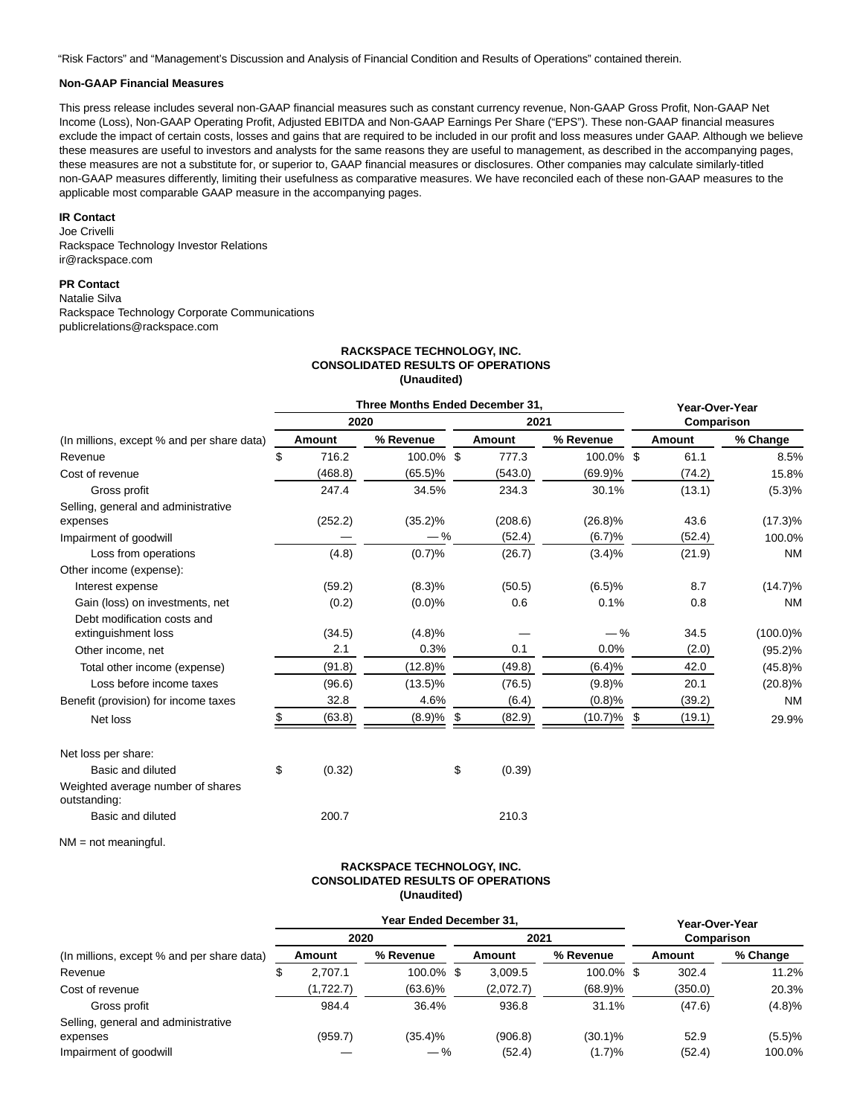"Risk Factors" and "Management's Discussion and Analysis of Financial Condition and Results of Operations" contained therein.

### **Non-GAAP Financial Measures**

This press release includes several non-GAAP financial measures such as constant currency revenue, Non-GAAP Gross Profit, Non-GAAP Net Income (Loss), Non-GAAP Operating Profit, Adjusted EBITDA and Non-GAAP Earnings Per Share ("EPS"). These non-GAAP financial measures exclude the impact of certain costs, losses and gains that are required to be included in our profit and loss measures under GAAP. Although we believe these measures are useful to investors and analysts for the same reasons they are useful to management, as described in the accompanying pages, these measures are not a substitute for, or superior to, GAAP financial measures or disclosures. Other companies may calculate similarly-titled non-GAAP measures differently, limiting their usefulness as comparative measures. We have reconciled each of these non-GAAP measures to the applicable most comparable GAAP measure in the accompanying pages.

### **IR Contact**

Joe Crivelli Rackspace Technology Investor Relations ir@rackspace.com

# **PR Contact**

Natalie Silva Rackspace Technology Corporate Communications publicrelations@rackspace.com

## **RACKSPACE TECHNOLOGY, INC. CONSOLIDATED RESULTS OF OPERATIONS (Unaudited)**

|                                                   |      | Three Months Ended December 31, |            |    |               |            | Year-Over-Year |               |             |  |
|---------------------------------------------------|------|---------------------------------|------------|----|---------------|------------|----------------|---------------|-------------|--|
|                                                   | 2020 |                                 |            |    | 2021          |            |                | Comparison    |             |  |
| (In millions, except % and per share data)        |      | Amount                          | % Revenue  |    | <b>Amount</b> | % Revenue  |                | <b>Amount</b> | % Change    |  |
| Revenue                                           | \$   | 716.2                           | 100.0% \$  |    | 777.3         | 100.0% \$  |                | 61.1          | 8.5%        |  |
| Cost of revenue                                   |      | (468.8)                         | $(65.5)\%$ |    | (543.0)       | (69.9)%    |                | (74.2)        | 15.8%       |  |
| Gross profit                                      |      | 247.4                           | 34.5%      |    | 234.3         | 30.1%      |                | (13.1)        | (5.3)%      |  |
| Selling, general and administrative               |      |                                 |            |    |               |            |                |               |             |  |
| expenses                                          |      | (252.2)                         | $(35.2)\%$ |    | (208.6)       | $(26.8)\%$ |                | 43.6          | $(17.3)\%$  |  |
| Impairment of goodwill                            |      |                                 | $-$ %      |    | (52.4)        | (6.7)%     |                | (52.4)        | 100.0%      |  |
| Loss from operations                              |      | (4.8)                           | (0.7)%     |    | (26.7)        | $(3.4)\%$  |                | (21.9)        | <b>NM</b>   |  |
| Other income (expense):                           |      |                                 |            |    |               |            |                |               |             |  |
| Interest expense                                  |      | (59.2)                          | (8.3)%     |    | (50.5)        | (6.5)%     |                | 8.7           | $(14.7)\%$  |  |
| Gain (loss) on investments, net                   |      | (0.2)                           | (0.0)%     |    | 0.6           | 0.1%       |                | 0.8           | <b>NM</b>   |  |
| Debt modification costs and                       |      |                                 |            |    |               |            |                |               |             |  |
| extinguishment loss                               |      | (34.5)                          | (4.8)%     |    |               | $-$ %      |                | 34.5          | $(100.0)\%$ |  |
| Other income, net                                 |      | 2.1                             | 0.3%       |    | 0.1           | 0.0%       |                | (2.0)         | $(95.2)\%$  |  |
| Total other income (expense)                      |      | (91.8)                          | $(12.8)\%$ |    | (49.8)        | (6.4)%     |                | 42.0          | $(45.8)\%$  |  |
| Loss before income taxes                          |      | (96.6)                          | $(13.5)\%$ |    | (76.5)        | (9.8)%     |                | 20.1          | $(20.8)\%$  |  |
| Benefit (provision) for income taxes              |      | 32.8                            | 4.6%       |    | (6.4)         | (0.8)%     |                | (39.2)        | <b>NM</b>   |  |
| Net loss                                          | \$   | (63.8)                          | (8.9)%     | \$ | (82.9)        | (10.7)%    | \$             | (19.1)        | 29.9%       |  |
| Net loss per share:                               |      |                                 |            |    |               |            |                |               |             |  |
| Basic and diluted                                 | \$   | (0.32)                          |            | \$ | (0.39)        |            |                |               |             |  |
| Weighted average number of shares<br>outstanding: |      |                                 |            |    |               |            |                |               |             |  |
| Basic and diluted                                 |      | 200.7                           |            |    | 210.3         |            |                |               |             |  |

NM = not meaningful.

### **RACKSPACE TECHNOLOGY, INC. CONSOLIDATED RESULTS OF OPERATIONS (Unaudited)**

|                                            |      | <b>Year Ended December 31.</b> |            |  |           |            |        | Year-Over-Year    |          |  |
|--------------------------------------------|------|--------------------------------|------------|--|-----------|------------|--------|-------------------|----------|--|
|                                            | 2020 |                                |            |  | 2021      |            |        | <b>Comparison</b> |          |  |
| (In millions, except % and per share data) |      | Amount                         | % Revenue  |  | Amount    | % Revenue  | Amount |                   | % Change |  |
| Revenue                                    | S    | 2.707.1                        | 100.0% \$  |  | 3,009.5   | 100.0% \$  |        | 302.4             | 11.2%    |  |
| Cost of revenue                            |      | (1,722.7)                      | $(63.6)\%$ |  | (2,072.7) | (68.9)%    |        | (350.0)           | 20.3%    |  |
| Gross profit                               |      | 984.4                          | 36.4%      |  | 936.8     | 31.1%      |        | (47.6)            | (4.8)%   |  |
| Selling, general and administrative        |      |                                |            |  |           |            |        |                   |          |  |
| expenses                                   |      | (959.7)                        | (35.4)%    |  | (906.8)   | $(30.1)\%$ |        | 52.9              | (5.5)%   |  |
| Impairment of goodwill                     |      |                                | $-$ %      |  | (52.4)    | (1.7)%     |        | (52.4)            | 100.0%   |  |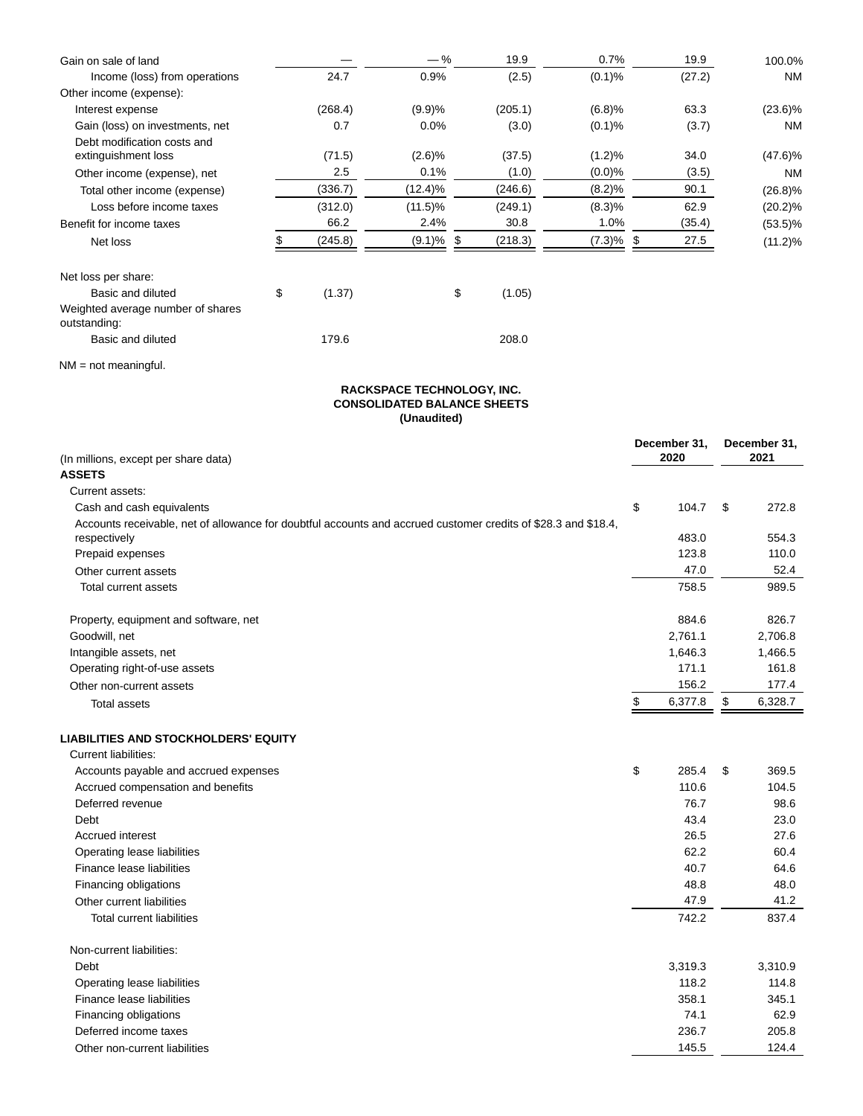| Gain on sale of land                               |              | $-$ %      |                 | 19.9<br>0.7%       |      | 19.9   | 100.0%     |
|----------------------------------------------------|--------------|------------|-----------------|--------------------|------|--------|------------|
| Income (loss) from operations                      | 24.7         | 0.9%       |                 | (0.1)%<br>(2.5)    |      | (27.2) | <b>NM</b>  |
| Other income (expense):                            |              |            |                 |                    |      |        |            |
| Interest expense                                   | (268.4)      | (9.9)%     | (205.1)         | (6.8)%             |      | 63.3   | $(23.6)\%$ |
| Gain (loss) on investments, net                    | 0.7          | 0.0%       |                 | (3.0)<br>(0.1)%    |      | (3.7)  | <b>NM</b>  |
| Debt modification costs and<br>extinguishment loss | (71.5)       | (2.6)%     |                 | (37.5)<br>(1.2)%   |      | 34.0   | (47.6)%    |
| Other income (expense), net                        | 2.5          | 0.1%       |                 | (1.0)<br>$(0.0)\%$ |      | (3.5)  | <b>NM</b>  |
| Total other income (expense)                       | (336.7)      | $(12.4)\%$ | (246.6)         | (8.2)%             |      | 90.1   | $(26.8)\%$ |
| Loss before income taxes                           | (312.0)      | $(11.5)\%$ | (249.1)         | (8.3)%             |      | 62.9   | $(20.2)\%$ |
| Benefit for income taxes                           | 66.2         | 2.4%       |                 | 30.8<br>1.0%       |      | (35.4) | $(53.5)\%$ |
| Net loss                                           | (245.8)      | $(9.1)\%$  | (218.3)<br>- \$ | (7.3)%             | - \$ | 27.5   | $(11.2)\%$ |
| Net loss per share:                                |              |            |                 |                    |      |        |            |
| Basic and diluted                                  | \$<br>(1.37) |            | \$<br>(1.05)    |                    |      |        |            |
| Weighted average number of shares<br>outstanding:  |              |            |                 |                    |      |        |            |
| Basic and diluted                                  | 179.6        |            | 208.0           |                    |      |        |            |
| $NM = not meaningful.$                             |              |            |                 |                    |      |        |            |

### **RACKSPACE TECHNOLOGY, INC. CONSOLIDATED BALANCE SHEETS (Unaudited)**

| (In millions, except per share data)                                                                           | December 31,<br>2020 | December 31,<br>2021 |
|----------------------------------------------------------------------------------------------------------------|----------------------|----------------------|
| <b>ASSETS</b>                                                                                                  |                      |                      |
| Current assets:                                                                                                |                      |                      |
| Cash and cash equivalents                                                                                      | \$<br>104.7          | \$<br>272.8          |
| Accounts receivable, net of allowance for doubtful accounts and accrued customer credits of \$28.3 and \$18.4, |                      |                      |
| respectively                                                                                                   | 483.0                | 554.3                |
| Prepaid expenses                                                                                               | 123.8                | 110.0                |
| Other current assets                                                                                           | 47.0                 | 52.4                 |
| Total current assets                                                                                           | 758.5                | 989.5                |
| Property, equipment and software, net                                                                          | 884.6                | 826.7                |
| Goodwill, net                                                                                                  | 2,761.1              | 2,706.8              |
| Intangible assets, net                                                                                         | 1,646.3              | 1,466.5              |
| Operating right-of-use assets                                                                                  | 171.1                | 161.8                |
| Other non-current assets                                                                                       | 156.2                | 177.4                |
| <b>Total assets</b>                                                                                            | \$<br>6,377.8        | \$<br>6,328.7        |
| <b>LIABILITIES AND STOCKHOLDERS' EQUITY</b>                                                                    |                      |                      |
| <b>Current liabilities:</b>                                                                                    |                      |                      |
| Accounts payable and accrued expenses                                                                          | \$<br>285.4          | \$<br>369.5          |
| Accrued compensation and benefits                                                                              | 110.6                | 104.5                |
| Deferred revenue                                                                                               | 76.7                 | 98.6                 |
| Debt                                                                                                           | 43.4                 | 23.0                 |
| Accrued interest                                                                                               | 26.5                 | 27.6                 |
| Operating lease liabilities                                                                                    | 62.2                 | 60.4                 |
| Finance lease liabilities                                                                                      | 40.7                 | 64.6                 |
| Financing obligations                                                                                          | 48.8                 | 48.0                 |
| Other current liabilities                                                                                      | 47.9                 | 41.2                 |
| <b>Total current liabilities</b>                                                                               | 742.2                | 837.4                |
| Non-current liabilities:                                                                                       |                      |                      |
| Debt                                                                                                           | 3,319.3              | 3,310.9              |
| Operating lease liabilities                                                                                    | 118.2                | 114.8                |
| Finance lease liabilities                                                                                      | 358.1                | 345.1                |
| Financing obligations                                                                                          | 74.1                 | 62.9                 |
| Deferred income taxes                                                                                          | 236.7                | 205.8                |
| Other non-current liabilities                                                                                  | 145.5                | 124.4                |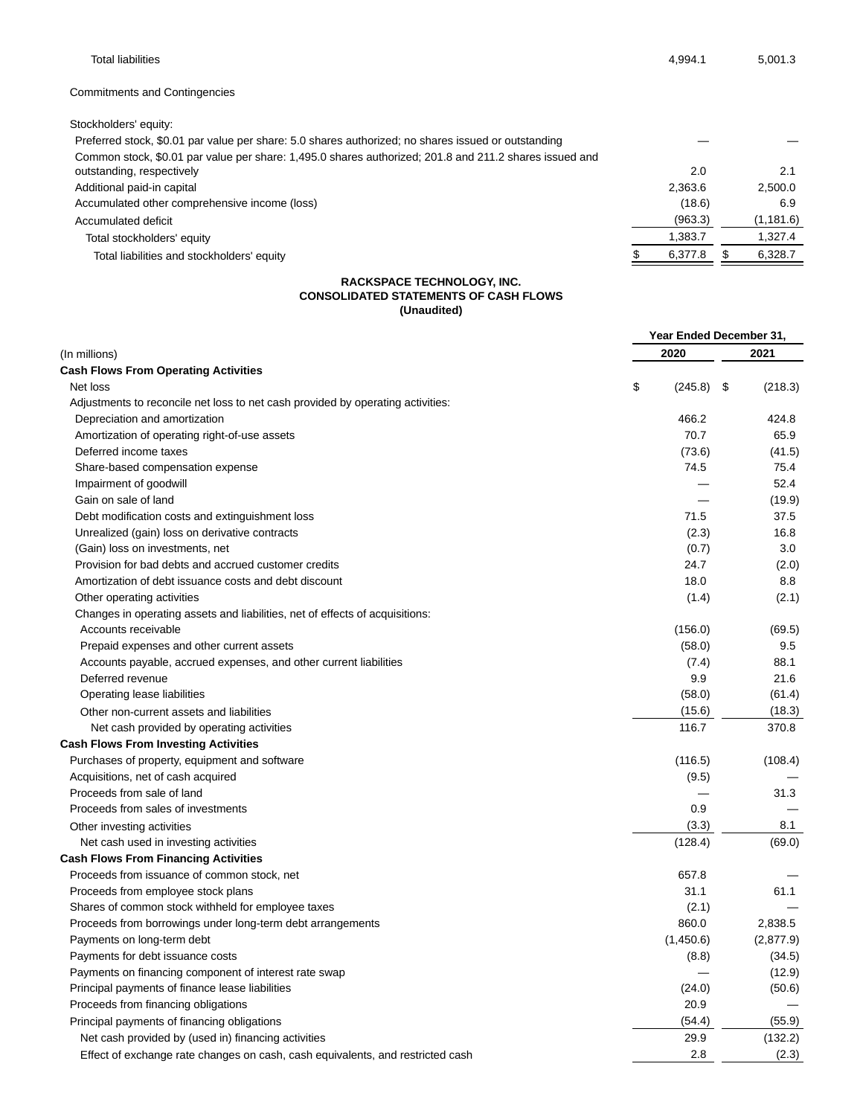| <b>Commitments and Contingencies</b>                                                                                                |         |            |
|-------------------------------------------------------------------------------------------------------------------------------------|---------|------------|
| Stockholders' equity:                                                                                                               |         |            |
| Preferred stock, \$0.01 par value per share: 5.0 shares authorized; no shares issued or outstanding                                 |         |            |
| Common stock, \$0.01 par value per share: 1,495.0 shares authorized; 201.8 and 211.2 shares issued and<br>outstanding, respectively | 2.0     | 2.1        |
| Additional paid-in capital                                                                                                          | 2.363.6 | 2.500.0    |
| Accumulated other comprehensive income (loss)                                                                                       | (18.6)  | 6.9        |
| Accumulated deficit                                                                                                                 | (963.3) | (1, 181.6) |
| Total stockholders' equity                                                                                                          | 1.383.7 | 1,327.4    |
| Total liabilities and stockholders' equity                                                                                          | 6.377.8 | 6,328.7    |
|                                                                                                                                     |         |            |

Total liabilities 4,994.1 5,001.3

# **RACKSPACE TECHNOLOGY, INC. CONSOLIDATED STATEMENTS OF CASH FLOWS (Unaudited)**

|                                                                                 | Year Ended December 31, |               |
|---------------------------------------------------------------------------------|-------------------------|---------------|
| (In millions)                                                                   | 2020                    | 2021          |
| <b>Cash Flows From Operating Activities</b>                                     |                         |               |
| Net loss                                                                        | \$<br>(245.8)           | \$<br>(218.3) |
| Adjustments to reconcile net loss to net cash provided by operating activities: |                         |               |
| Depreciation and amortization                                                   | 466.2                   | 424.8         |
| Amortization of operating right-of-use assets                                   | 70.7                    | 65.9          |
| Deferred income taxes                                                           | (73.6)                  | (41.5)        |
| Share-based compensation expense                                                | 74.5                    | 75.4          |
| Impairment of goodwill                                                          |                         | 52.4          |
| Gain on sale of land                                                            |                         | (19.9)        |
| Debt modification costs and extinguishment loss                                 | 71.5                    | 37.5          |
| Unrealized (gain) loss on derivative contracts                                  | (2.3)                   | 16.8          |
| (Gain) loss on investments, net                                                 | (0.7)                   | 3.0           |
| Provision for bad debts and accrued customer credits                            | 24.7                    | (2.0)         |
| Amortization of debt issuance costs and debt discount                           | 18.0                    | 8.8           |
| Other operating activities                                                      | (1.4)                   | (2.1)         |
| Changes in operating assets and liabilities, net of effects of acquisitions:    |                         |               |
| Accounts receivable                                                             | (156.0)                 | (69.5)        |
| Prepaid expenses and other current assets                                       | (58.0)                  | 9.5           |
| Accounts payable, accrued expenses, and other current liabilities               | (7.4)                   | 88.1          |
| Deferred revenue                                                                | 9.9                     | 21.6          |
| Operating lease liabilities                                                     | (58.0)                  | (61.4)        |
| Other non-current assets and liabilities                                        | (15.6)                  | (18.3)        |
| Net cash provided by operating activities                                       | 116.7                   | 370.8         |
| <b>Cash Flows From Investing Activities</b>                                     |                         |               |
| Purchases of property, equipment and software                                   | (116.5)                 | (108.4)       |
| Acquisitions, net of cash acquired                                              | (9.5)                   |               |
| Proceeds from sale of land                                                      |                         | 31.3          |
| Proceeds from sales of investments                                              | 0.9                     |               |
| Other investing activities                                                      | (3.3)                   | 8.1           |
| Net cash used in investing activities                                           | (128.4)                 | (69.0)        |
| <b>Cash Flows From Financing Activities</b>                                     |                         |               |
| Proceeds from issuance of common stock, net                                     | 657.8                   |               |
| Proceeds from employee stock plans                                              | 31.1                    | 61.1          |
| Shares of common stock withheld for employee taxes                              | (2.1)                   |               |
| Proceeds from borrowings under long-term debt arrangements                      | 860.0                   | 2,838.5       |
| Payments on long-term debt                                                      | (1,450.6)               | (2,877.9)     |
| Payments for debt issuance costs                                                | (8.8)                   | (34.5)        |
| Payments on financing component of interest rate swap                           |                         | (12.9)        |
| Principal payments of finance lease liabilities                                 | (24.0)                  | (50.6)        |
| Proceeds from financing obligations                                             | 20.9                    |               |
| Principal payments of financing obligations                                     | (54.4)                  | (55.9)        |
| Net cash provided by (used in) financing activities                             | 29.9                    | (132.2)       |
| Effect of exchange rate changes on cash, cash equivalents, and restricted cash  | 2.8                     | (2.3)         |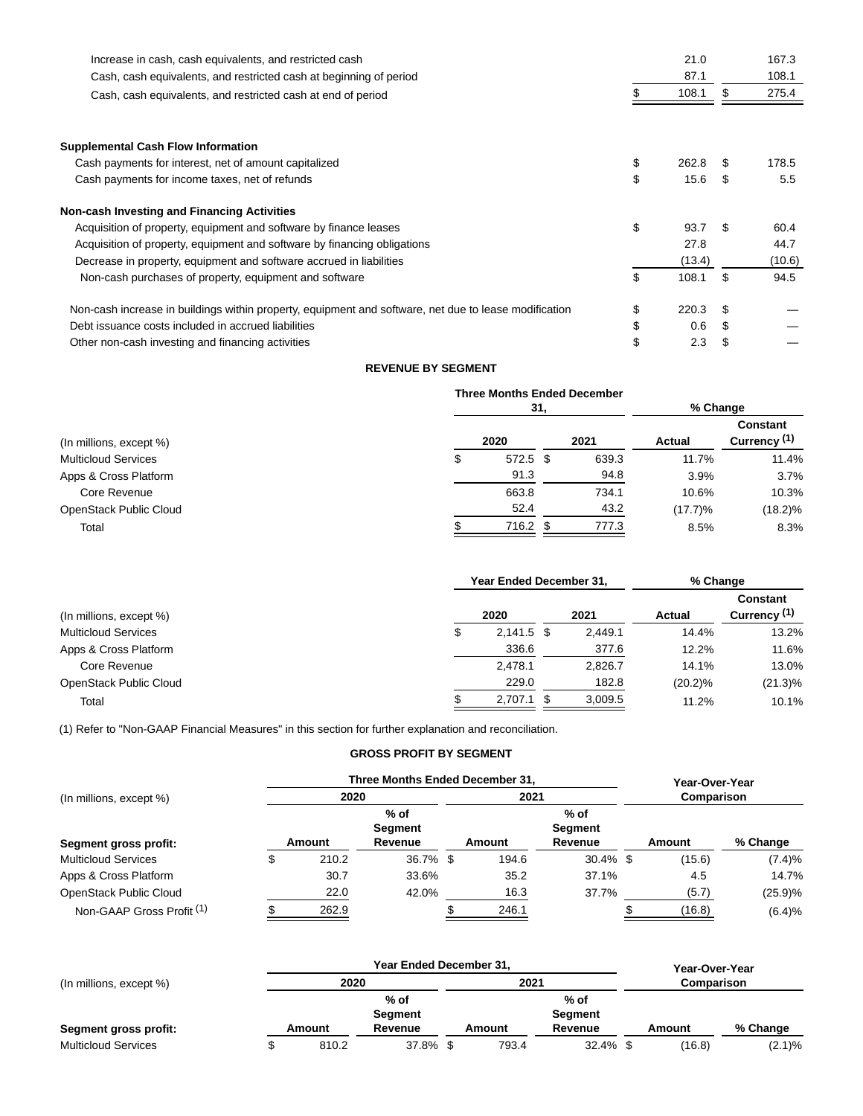| Increase in cash, cash equivalents, and restricted cash                                               | 21.0        |     | 167.3  |
|-------------------------------------------------------------------------------------------------------|-------------|-----|--------|
| Cash, cash equivalents, and restricted cash at beginning of period                                    | 87.1        |     | 108.1  |
| Cash, cash equivalents, and restricted cash at end of period                                          | 108.1       |     | 275.4  |
| <b>Supplemental Cash Flow Information</b>                                                             |             |     |        |
| Cash payments for interest, net of amount capitalized                                                 | \$<br>262.8 |     | 178.5  |
| Cash payments for income taxes, net of refunds                                                        | \$<br>15.6  | \$. | 5.5    |
| Non-cash Investing and Financing Activities                                                           |             |     |        |
| Acquisition of property, equipment and software by finance leases                                     | \$<br>93.7  | \$. | 60.4   |
| Acquisition of property, equipment and software by financing obligations                              | 27.8        |     | 44.7   |
| Decrease in property, equipment and software accrued in liabilities                                   | (13.4)      |     | (10.6) |
| Non-cash purchases of property, equipment and software                                                | \$<br>108.1 | \$  | 94.5   |
| Non-cash increase in buildings within property, equipment and software, net due to lease modification | \$<br>220.3 | \$. |        |
| Debt issuance costs included in accrued liabilities                                                   | \$<br>0.6   |     |        |
| Other non-cash investing and financing activities                                                     | 2.3         |     |        |

# **REVENUE BY SEGMENT**

|                            |      | <b>Three Months Ended December</b><br>31, |       |            |                                            |  |  |
|----------------------------|------|-------------------------------------------|-------|------------|--------------------------------------------|--|--|
|                            |      | % Change                                  |       |            |                                            |  |  |
| (In millions, except %)    | 2020 |                                           | 2021  | Actual     | <b>Constant</b><br>Currency <sup>(1)</sup> |  |  |
| <b>Multicloud Services</b> | \$   | $572.5$ \$                                | 639.3 | 11.7%      | 11.4%                                      |  |  |
| Apps & Cross Platform      |      | 91.3                                      | 94.8  | 3.9%       | 3.7%                                       |  |  |
| Core Revenue               |      | 663.8                                     | 734.1 | 10.6%      | 10.3%                                      |  |  |
| OpenStack Public Cloud     |      | 52.4                                      | 43.2  | $(17.7)\%$ | (18.2)%                                    |  |  |
| Total                      |      | 716.2 \$                                  | 777.3 | 8.5%       | 8.3%                                       |  |  |

|                            |                    | Year Ended December 31. |         |            |                                     |  |
|----------------------------|--------------------|-------------------------|---------|------------|-------------------------------------|--|
| (In millions, except %)    | 2020               |                         | 2021    | Actual     | Constant<br>Currency <sup>(1)</sup> |  |
| <b>Multicloud Services</b> | $2.141.5$ \$<br>\$ |                         | 2.449.1 | 14.4%      | 13.2%                               |  |
| Apps & Cross Platform      | 336.6              |                         | 377.6   | 12.2%      | 11.6%                               |  |
| Core Revenue               | 2.478.1            |                         | 2,826.7 | 14.1%      | 13.0%                               |  |
| OpenStack Public Cloud     | 229.0              |                         | 182.8   | $(20.2)\%$ | $(21.3)\%$                          |  |
| Total                      | $2,707.1$ \$       |                         | 3,009.5 | 11.2%      | 10.1%                               |  |

(1) Refer to "Non-GAAP Financial Measures" in this section for further explanation and reconciliation.

# **GROSS PROFIT BY SEGMENT**

|                                                  | Three Months Ended December 31, |                              |  |        |                              |  |            | Year-Over-Year |  |  |
|--------------------------------------------------|---------------------------------|------------------------------|--|--------|------------------------------|--|------------|----------------|--|--|
| (In millions, except %)<br>Segment gross profit: | 2020                            |                              |  | 2021   |                              |  | Comparison |                |  |  |
|                                                  | <b>Amount</b>                   | $%$ of<br>Segment<br>Revenue |  | Amount | $%$ of<br>Segment<br>Revenue |  | Amount     | % Change       |  |  |
| <b>Multicloud Services</b>                       | 210.2                           | $36.7\%$ \$                  |  | 194.6  | $30.4\%$ \$                  |  | (15.6)     | (7.4)%         |  |  |
| Apps & Cross Platform                            | 30.7                            | 33.6%                        |  | 35.2   | 37.1%                        |  | 4.5        | 14.7%          |  |  |
| OpenStack Public Cloud                           | 22.0                            | 42.0%                        |  | 16.3   | 37.7%                        |  | (5.7)      | (25.9)%        |  |  |
| Non-GAAP Gross Profit (1)                        | 262.9                           |                              |  | 246.1  |                              |  | (16.8)     | (6.4)%         |  |  |

|                            | Year Ended December 31, |        |                 |  |        |                 |  | Year-Over-Year |           |  |
|----------------------------|-------------------------|--------|-----------------|--|--------|-----------------|--|----------------|-----------|--|
| (In millions, except %)    |                         | 2020   |                 |  | 2021   |                 |  | Comparison     |           |  |
|                            |                         |        | % of<br>Segment |  |        | % of<br>Segment |  |                |           |  |
| Segment gross profit:      |                         | Amount | Revenue         |  | Amount | Revenue         |  | Amount         | % Change  |  |
| <b>Multicloud Services</b> |                         | 810.2  | $37.8\%$ \$     |  | 793.4  | 32.4%           |  | (16.8)         | $(2.1)\%$ |  |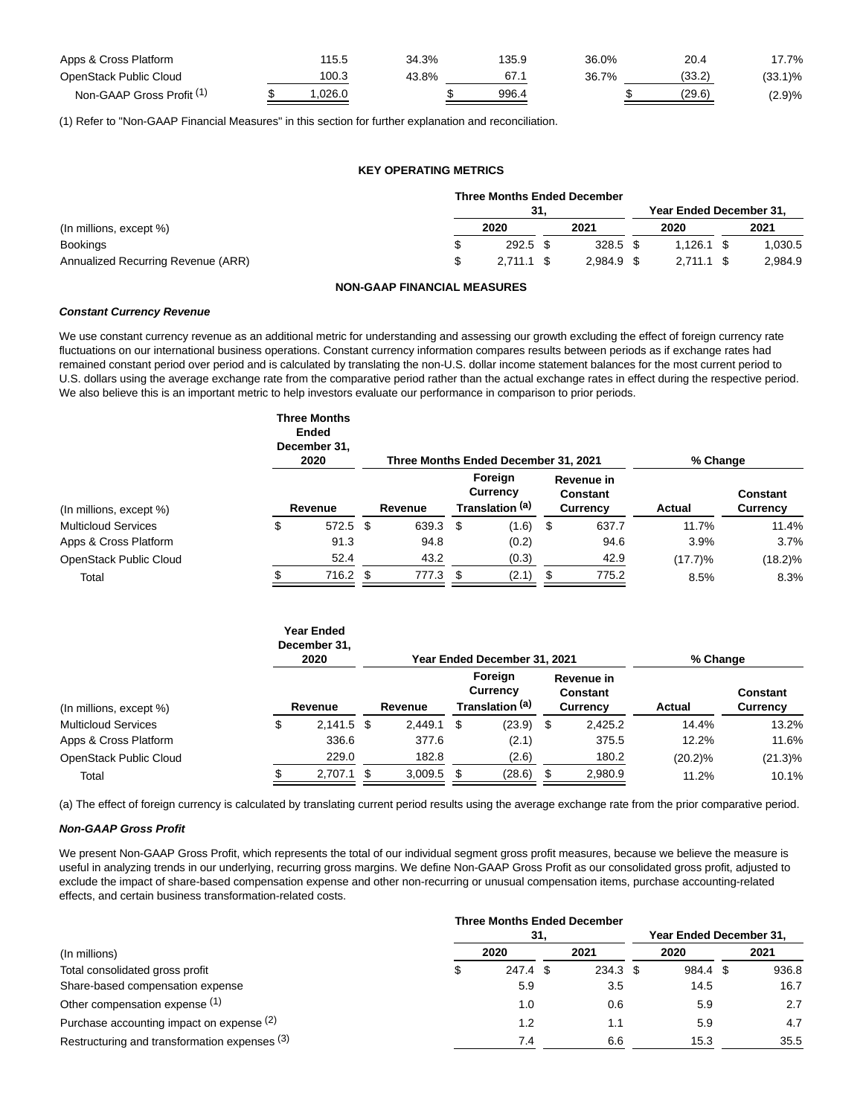| Apps & Cross Platform                | 115.5  | 34.3% | 35.9  | 36.0% | 20.4   | 7.7%       |
|--------------------------------------|--------|-------|-------|-------|--------|------------|
| OpenStack Public Cloud               | 100.3  | 43.8% |       | 36.7% | (33.2) | $(33.1)\%$ |
| Non-GAAP Gross Profit <sup>(1)</sup> | .026.0 |       | 996.4 |       | (29.6) | (2.9)%     |

(1) Refer to "Non-GAAP Financial Measures" in this section for further explanation and reconciliation.

# **KEY OPERATING METRICS**

|                                    | <b>Three Months Ended December</b> |                         |      |              |      |              |  |         |  |  |
|------------------------------------|------------------------------------|-------------------------|------|--------------|------|--------------|--|---------|--|--|
|                                    |                                    | Year Ended December 31. |      |              |      |              |  |         |  |  |
| (In millions, except %)            | 2020                               |                         | 2021 |              | 2020 |              |  | 2021    |  |  |
| Bookings                           |                                    | 292.5                   |      | 328.5        |      | $1.126.1$ \$ |  | 1,030.5 |  |  |
| Annualized Recurring Revenue (ARR) |                                    | $2.711.1$ \$            |      | $2.984.9$ \$ |      | $2.711.1$ \$ |  | 2.984.9 |  |  |

### **NON-GAAP FINANCIAL MEASURES**

### **Constant Currency Revenue**

We use constant currency revenue as an additional metric for understanding and assessing our growth excluding the effect of foreign currency rate fluctuations on our international business operations. Constant currency information compares results between periods as if exchange rates had remained constant period over period and is calculated by translating the non-U.S. dollar income statement balances for the most current period to U.S. dollars using the average exchange rate from the comparative period rather than the actual exchange rates in effect during the respective period. We also believe this is an important metric to help investors evaluate our performance in comparison to prior periods.

|                            | <b>Three Months</b><br>Ended<br>December 31,<br>2020 |   |          |  | Three Months Ended December 31, 2021   | % Change |                                           |            |                             |  |
|----------------------------|------------------------------------------------------|---|----------|--|----------------------------------------|----------|-------------------------------------------|------------|-----------------------------|--|
| (In millions, except %)    | Revenue                                              |   | Revenue  |  | Foreign<br>Currency<br>Translation (a) |          | Revenue in<br><b>Constant</b><br>Currency | Actual     | <b>Constant</b><br>Currency |  |
| <b>Multicloud Services</b> | \$<br>$572.5$ \$                                     |   | 639.3 \$ |  | (1.6)                                  | \$       | 637.7                                     | 11.7%      | 11.4%                       |  |
| Apps & Cross Platform      | 91.3                                                 |   | 94.8     |  | (0.2)                                  |          | 94.6                                      | 3.9%       | 3.7%                        |  |
| OpenStack Public Cloud     | 52.4                                                 |   | 43.2     |  | (0.3)                                  |          | 42.9                                      | $(17.7)\%$ | $(18.2)\%$                  |  |
| Total                      | 716.2                                                | S | 777.3 \$ |  | (2.1)                                  | -S       | 775.2                                     | 8.5%       | 8.3%                        |  |
|                            |                                                      |   |          |  |                                        |          |                                           |            |                             |  |

|                            | <b>Year Ended</b><br>December 31,<br>2020 |  | Year Ended December 31, 2021 |    | % Change                               |      |                                    |            |                             |  |
|----------------------------|-------------------------------------------|--|------------------------------|----|----------------------------------------|------|------------------------------------|------------|-----------------------------|--|
| (In millions, except %)    | Revenue                                   |  | Revenue                      |    | Foreign<br>Currency<br>Translation (a) |      | Revenue in<br>Constant<br>Currency | Actual     | <b>Constant</b><br>Currency |  |
| <b>Multicloud Services</b> | \$<br>$2.141.5$ \$                        |  | 2.449.1                      | \$ | (23.9)                                 | - \$ | 2.425.2                            | 14.4%      | 13.2%                       |  |
| Apps & Cross Platform      | 336.6                                     |  | 377.6                        |    | (2.1)                                  |      | 375.5                              | 12.2%      | 11.6%                       |  |
| OpenStack Public Cloud     | 229.0                                     |  | 182.8                        |    | (2.6)                                  |      | 180.2                              | $(20.2)\%$ | $(21.3)\%$                  |  |
| Total                      | $2,707.1$ \$                              |  | 3,009.5                      |    | (28.6)                                 |      | 2,980.9                            | 11.2%      | 10.1%                       |  |

(a) The effect of foreign currency is calculated by translating current period results using the average exchange rate from the prior comparative period.

## **Non-GAAP Gross Profit**

We present Non-GAAP Gross Profit, which represents the total of our individual segment gross profit measures, because we believe the measure is useful in analyzing trends in our underlying, recurring gross margins. We define Non-GAAP Gross Profit as our consolidated gross profit, adjusted to exclude the impact of share-based compensation expense and other non-recurring or unusual compensation items, purchase accounting-related effects, and certain business transformation-related costs.

|                                               | <b>Three Months Ended December</b> |                                |  |            |  |          |  |       |  |  |  |
|-----------------------------------------------|------------------------------------|--------------------------------|--|------------|--|----------|--|-------|--|--|--|
| (In millions)                                 |                                    | <b>Year Ended December 31.</b> |  |            |  |          |  |       |  |  |  |
|                                               | 2020                               |                                |  | 2021       |  | 2020     |  | 2021  |  |  |  |
| Total consolidated gross profit               |                                    | 247.4 \$                       |  | $234.3$ \$ |  | 984.4 \$ |  | 936.8 |  |  |  |
| Share-based compensation expense              |                                    | 5.9                            |  | 3.5        |  | 14.5     |  | 16.7  |  |  |  |
| Other compensation expense (1)                |                                    | 1.0                            |  | 0.6        |  | 5.9      |  | 2.7   |  |  |  |
| Purchase accounting impact on expense (2)     |                                    | 1.2                            |  | 1.1        |  | 5.9      |  | 4.7   |  |  |  |
| Restructuring and transformation expenses (3) |                                    | 7.4                            |  | 6.6        |  | 15.3     |  | 35.5  |  |  |  |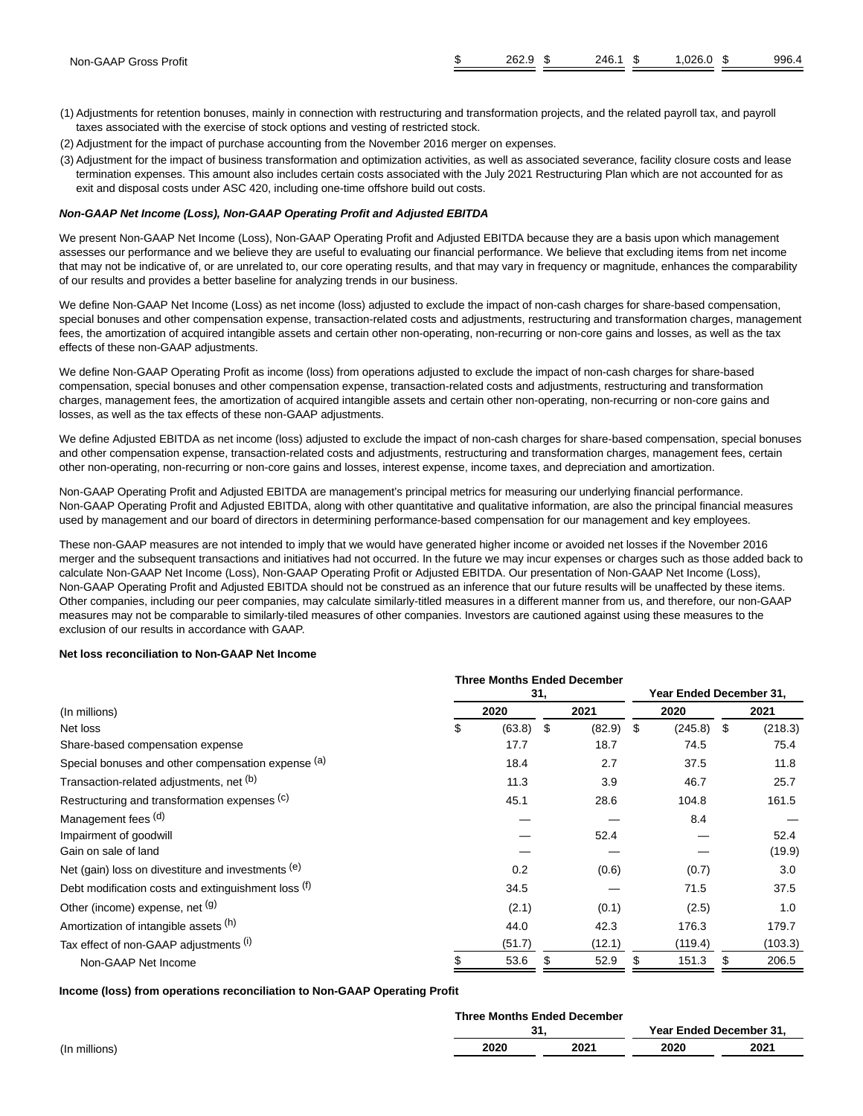- (1) Adjustments for retention bonuses, mainly in connection with restructuring and transformation projects, and the related payroll tax, and payroll taxes associated with the exercise of stock options and vesting of restricted stock.
- (2) Adjustment for the impact of purchase accounting from the November 2016 merger on expenses.
- (3) Adjustment for the impact of business transformation and optimization activities, as well as associated severance, facility closure costs and lease termination expenses. This amount also includes certain costs associated with the July 2021 Restructuring Plan which are not accounted for as exit and disposal costs under ASC 420, including one-time offshore build out costs.

### **Non-GAAP Net Income (Loss), Non-GAAP Operating Profit and Adjusted EBITDA**

We present Non-GAAP Net Income (Loss), Non-GAAP Operating Profit and Adjusted EBITDA because they are a basis upon which management assesses our performance and we believe they are useful to evaluating our financial performance. We believe that excluding items from net income that may not be indicative of, or are unrelated to, our core operating results, and that may vary in frequency or magnitude, enhances the comparability of our results and provides a better baseline for analyzing trends in our business.

We define Non-GAAP Net Income (Loss) as net income (loss) adjusted to exclude the impact of non-cash charges for share-based compensation, special bonuses and other compensation expense, transaction-related costs and adjustments, restructuring and transformation charges, management fees, the amortization of acquired intangible assets and certain other non-operating, non-recurring or non-core gains and losses, as well as the tax effects of these non-GAAP adjustments.

We define Non-GAAP Operating Profit as income (loss) from operations adjusted to exclude the impact of non-cash charges for share-based compensation, special bonuses and other compensation expense, transaction-related costs and adjustments, restructuring and transformation charges, management fees, the amortization of acquired intangible assets and certain other non-operating, non-recurring or non-core gains and losses, as well as the tax effects of these non-GAAP adjustments.

We define Adjusted EBITDA as net income (loss) adjusted to exclude the impact of non-cash charges for share-based compensation, special bonuses and other compensation expense, transaction-related costs and adjustments, restructuring and transformation charges, management fees, certain other non-operating, non-recurring or non-core gains and losses, interest expense, income taxes, and depreciation and amortization.

Non-GAAP Operating Profit and Adjusted EBITDA are management's principal metrics for measuring our underlying financial performance. Non-GAAP Operating Profit and Adjusted EBITDA, along with other quantitative and qualitative information, are also the principal financial measures used by management and our board of directors in determining performance-based compensation for our management and key employees.

These non-GAAP measures are not intended to imply that we would have generated higher income or avoided net losses if the November 2016 merger and the subsequent transactions and initiatives had not occurred. In the future we may incur expenses or charges such as those added back to calculate Non-GAAP Net Income (Loss), Non-GAAP Operating Profit or Adjusted EBITDA. Our presentation of Non-GAAP Net Income (Loss), Non-GAAP Operating Profit and Adjusted EBITDA should not be construed as an inference that our future results will be unaffected by these items. Other companies, including our peer companies, may calculate similarly-titled measures in a different manner from us, and therefore, our non-GAAP measures may not be comparable to similarly-tiled measures of other companies. Investors are cautioned against using these measures to the exclusion of our results in accordance with GAAP.

### **Net loss reconciliation to Non-GAAP Net Income**

|                                                     |      | <b>Three Months Ended December</b> |     |        |      |                         |     |         |
|-----------------------------------------------------|------|------------------------------------|-----|--------|------|-------------------------|-----|---------|
|                                                     |      |                                    | 31, |        |      | Year Ended December 31, |     |         |
| (In millions)                                       | 2020 |                                    |     | 2021   | 2020 |                         |     | 2021    |
| Net loss                                            | \$   | $(63.8)$ \$                        |     | (82.9) | S    | (245.8)                 | -\$ | (218.3) |
| Share-based compensation expense                    |      | 17.7                               |     | 18.7   |      | 74.5                    |     | 75.4    |
| Special bonuses and other compensation expense (a)  |      | 18.4                               |     | 2.7    |      | 37.5                    |     | 11.8    |
| Transaction-related adjustments, net (b)            |      | 11.3                               |     | 3.9    |      | 46.7                    |     | 25.7    |
| Restructuring and transformation expenses (c)       |      | 45.1                               |     | 28.6   |      | 104.8                   |     | 161.5   |
| Management fees (d)                                 |      |                                    |     |        |      | 8.4                     |     |         |
| Impairment of goodwill                              |      |                                    |     | 52.4   |      |                         |     | 52.4    |
| Gain on sale of land                                |      |                                    |     |        |      |                         |     | (19.9)  |
| Net (gain) loss on divestiture and investments (e)  |      | 0.2                                |     | (0.6)  |      | (0.7)                   |     | 3.0     |
| Debt modification costs and extinguishment loss (f) |      | 34.5                               |     |        |      | 71.5                    |     | 37.5    |
| Other (income) expense, net (g)                     |      | (2.1)                              |     | (0.1)  |      | (2.5)                   |     | 1.0     |
| Amortization of intangible assets (h)               |      | 44.0                               |     | 42.3   |      | 176.3                   |     | 179.7   |
| Tax effect of non-GAAP adjustments (i)              |      | (51.7)                             |     | (12.1) |      | (119.4)                 |     | (103.3) |
| Non-GAAP Net Income                                 | \$   | 53.6                               |     | 52.9   |      | 151.3                   |     | 206.5   |

### **Income (loss) from operations reconciliation to Non-GAAP Operating Profit**

|               | <b>Three Months Ended December</b> |      |                         |                  |  |  |  |
|---------------|------------------------------------|------|-------------------------|------------------|--|--|--|
|               | ິ                                  |      | Year Ended December 31. |                  |  |  |  |
| (In millions) | 2020                               | 2021 | 2020                    | 202 <sup>7</sup> |  |  |  |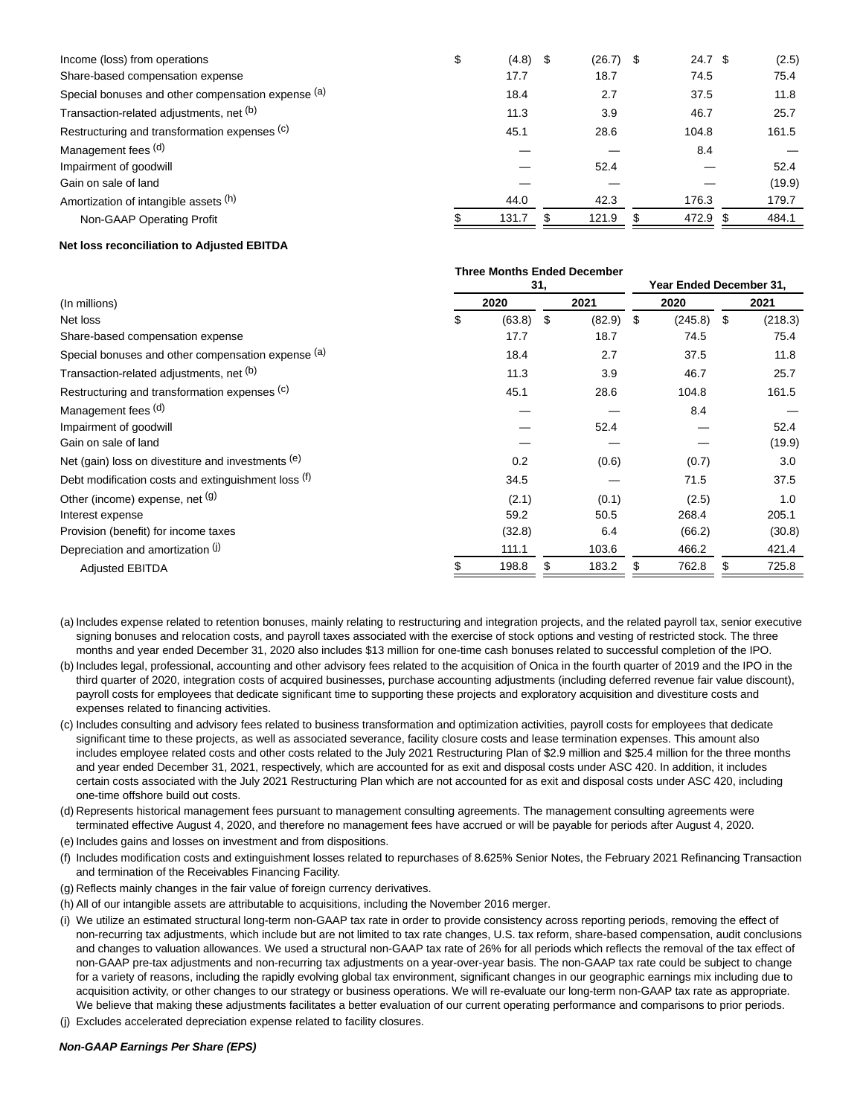| Income (loss) from operations                      | \$<br>(4.8) | - \$ | $(26.7)$ \$ | 24.7 <sup>°</sup> | (2.5)  |
|----------------------------------------------------|-------------|------|-------------|-------------------|--------|
| Share-based compensation expense                   | 17.7        |      | 18.7        | 74.5              | 75.4   |
| Special bonuses and other compensation expense (a) | 18.4        |      | 2.7         | 37.5              | 11.8   |
| Transaction-related adjustments, net (b)           | 11.3        |      | 3.9         | 46.7              | 25.7   |
| Restructuring and transformation expenses (c)      | 45.1        |      | 28.6        | 104.8             | 161.5  |
| Management fees (d)                                |             |      |             | 8.4               |        |
| Impairment of goodwill                             |             |      | 52.4        |                   | 52.4   |
| Gain on sale of land                               |             |      |             |                   | (19.9) |
| Amortization of intangible assets (h)              | 44.0        |      | 42.3        | 176.3             | 179.7  |
| Non-GAAP Operating Profit                          | 131.7       |      | 121.9       | 472.9             | 484.1  |
|                                                    |             |      |             |                   |        |

### **Net loss reconciliation to Adjusted EBITDA**

|                                                     |      |        | 31, |        |      | Year Ended December 31, |     |         |
|-----------------------------------------------------|------|--------|-----|--------|------|-------------------------|-----|---------|
| (In millions)                                       | 2020 |        |     | 2021   | 2020 |                         |     | 2021    |
| Net loss                                            | \$   | (63.8) | \$  | (82.9) | \$   | (245.8)                 | -\$ | (218.3) |
| Share-based compensation expense                    |      | 17.7   |     | 18.7   |      | 74.5                    |     | 75.4    |
| Special bonuses and other compensation expense (a)  |      | 18.4   |     | 2.7    |      | 37.5                    |     | 11.8    |
| Transaction-related adjustments, net (b)            |      | 11.3   |     | 3.9    |      | 46.7                    |     | 25.7    |
| Restructuring and transformation expenses (c)       |      | 45.1   |     | 28.6   |      | 104.8                   |     | 161.5   |
| Management fees (d)                                 |      |        |     |        |      | 8.4                     |     |         |
| Impairment of goodwill                              |      |        |     | 52.4   |      |                         |     | 52.4    |
| Gain on sale of land                                |      |        |     |        |      |                         |     | (19.9)  |
| Net (gain) loss on divestiture and investments (e)  |      | 0.2    |     | (0.6)  |      | (0.7)                   |     | 3.0     |
| Debt modification costs and extinguishment loss (f) |      | 34.5   |     |        |      | 71.5                    |     | 37.5    |
| Other (income) expense, net (g)                     |      | (2.1)  |     | (0.1)  |      | (2.5)                   |     | 1.0     |
| Interest expense                                    |      | 59.2   |     | 50.5   |      | 268.4                   |     | 205.1   |
| Provision (benefit) for income taxes                |      | (32.8) |     | 6.4    |      | (66.2)                  |     | (30.8)  |
| Depreciation and amortization (i)                   |      | 111.1  |     | 103.6  |      | 466.2                   |     | 421.4   |
| <b>Adjusted EBITDA</b>                              |      | 198.8  | S   | 183.2  | \$   | 762.8                   |     | 725.8   |

- (a) Includes expense related to retention bonuses, mainly relating to restructuring and integration projects, and the related payroll tax, senior executive signing bonuses and relocation costs, and payroll taxes associated with the exercise of stock options and vesting of restricted stock. The three months and year ended December 31, 2020 also includes \$13 million for one-time cash bonuses related to successful completion of the IPO.
- (b) Includes legal, professional, accounting and other advisory fees related to the acquisition of Onica in the fourth quarter of 2019 and the IPO in the third quarter of 2020, integration costs of acquired businesses, purchase accounting adjustments (including deferred revenue fair value discount), payroll costs for employees that dedicate significant time to supporting these projects and exploratory acquisition and divestiture costs and expenses related to financing activities.
- (c) Includes consulting and advisory fees related to business transformation and optimization activities, payroll costs for employees that dedicate significant time to these projects, as well as associated severance, facility closure costs and lease termination expenses. This amount also includes employee related costs and other costs related to the July 2021 Restructuring Plan of \$2.9 million and \$25.4 million for the three months and year ended December 31, 2021, respectively, which are accounted for as exit and disposal costs under ASC 420. In addition, it includes certain costs associated with the July 2021 Restructuring Plan which are not accounted for as exit and disposal costs under ASC 420, including one-time offshore build out costs.
- (d) Represents historical management fees pursuant to management consulting agreements. The management consulting agreements were terminated effective August 4, 2020, and therefore no management fees have accrued or will be payable for periods after August 4, 2020.
- (e) Includes gains and losses on investment and from dispositions.
- (f) Includes modification costs and extinguishment losses related to repurchases of 8.625% Senior Notes, the February 2021 Refinancing Transaction and termination of the Receivables Financing Facility.
- (g) Reflects mainly changes in the fair value of foreign currency derivatives.
- (h) All of our intangible assets are attributable to acquisitions, including the November 2016 merger.
- (i) We utilize an estimated structural long-term non-GAAP tax rate in order to provide consistency across reporting periods, removing the effect of non-recurring tax adjustments, which include but are not limited to tax rate changes, U.S. tax reform, share-based compensation, audit conclusions and changes to valuation allowances. We used a structural non-GAAP tax rate of 26% for all periods which reflects the removal of the tax effect of non-GAAP pre-tax adjustments and non-recurring tax adjustments on a year-over-year basis. The non-GAAP tax rate could be subject to change for a variety of reasons, including the rapidly evolving global tax environment, significant changes in our geographic earnings mix including due to acquisition activity, or other changes to our strategy or business operations. We will re-evaluate our long-term non-GAAP tax rate as appropriate. We believe that making these adjustments facilitates a better evaluation of our current operating performance and comparisons to prior periods.
- (j) Excludes accelerated depreciation expense related to facility closures.

### **Non-GAAP Earnings Per Share (EPS)**